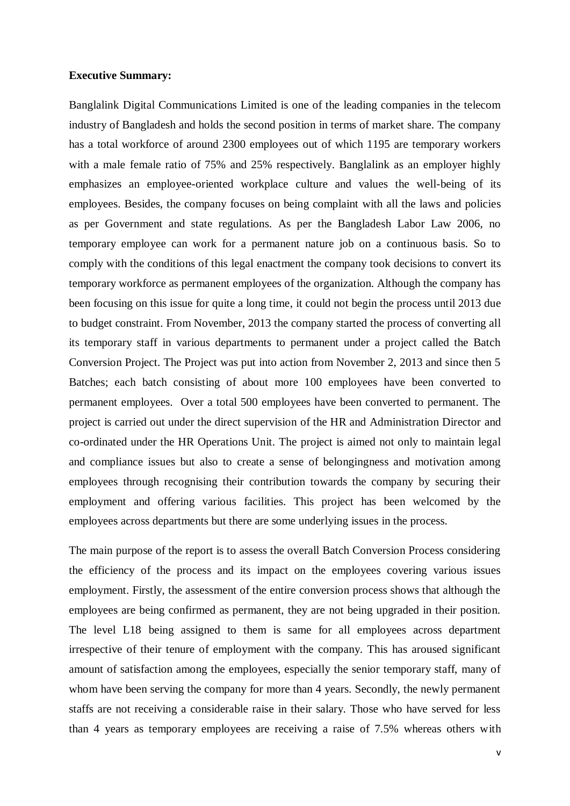## **Executive Summary:**

Banglalink Digital Communications Limited is one of the leading companies in the telecom industry of Bangladesh and holds the second position in terms of market share. The company has a total workforce of around 2300 employees out of which 1195 are temporary workers with a male female ratio of 75% and 25% respectively. Banglalink as an employer highly emphasizes an employee-oriented workplace culture and values the well-being of its employees. Besides, the company focuses on being complaint with all the laws and policies as per Government and state regulations. As per the Bangladesh Labor Law 2006, no temporary employee can work for a permanent nature job on a continuous basis. So to comply with the conditions of this legal enactment the company took decisions to convert its temporary workforce as permanent employees of the organization. Although the company has been focusing on this issue for quite a long time, it could not begin the process until 2013 due to budget constraint. From November, 2013 the company started the process of converting all its temporary staff in various departments to permanent under a project called the Batch Conversion Project. The Project was put into action from November 2, 2013 and since then 5 Batches; each batch consisting of about more 100 employees have been converted to permanent employees. Over a total 500 employees have been converted to permanent. The project is carried out under the direct supervision of the HR and Administration Director and co-ordinated under the HR Operations Unit. The project is aimed not only to maintain legal and compliance issues but also to create a sense of belongingness and motivation among employees through recognising their contribution towards the company by securing their employment and offering various facilities. This project has been welcomed by the employees across departments but there are some underlying issues in the process.

The main purpose of the report is to assess the overall Batch Conversion Process considering the efficiency of the process and its impact on the employees covering various issues employment. Firstly, the assessment of the entire conversion process shows that although the employees are being confirmed as permanent, they are not being upgraded in their position. The level L18 being assigned to them is same for all employees across department irrespective of their tenure of employment with the company. This has aroused significant amount of satisfaction among the employees, especially the senior temporary staff, many of whom have been serving the company for more than 4 years. Secondly, the newly permanent staffs are not receiving a considerable raise in their salary. Those who have served for less than 4 years as temporary employees are receiving a raise of 7.5% whereas others with